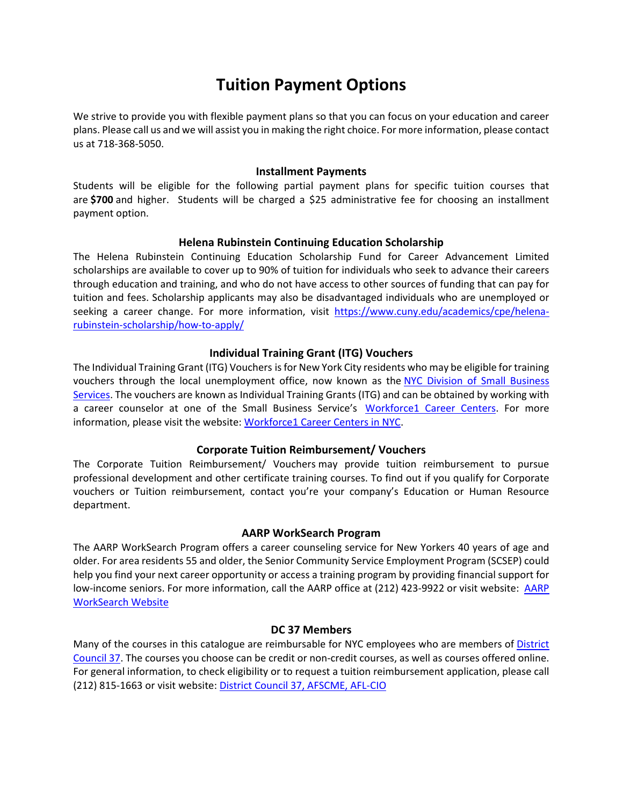# **Tuition Payment Options**

We strive to provide you with flexible payment plans so that you can focus on your education and career plans. Please call us and we will assist you in making the right choice. For more information, please contact us at 718-368-5050.

#### **Installment Payments**

Students will be eligible for the following partial payment plans for specific tuition courses that are **\$700** and higher. Students will be charged a \$25 administrative fee for choosing an installment payment option.

## **Helena Rubinstein Continuing Education Scholarship**

The Helena Rubinstein Continuing Education Scholarship Fund for Career Advancement Limited scholarships are available to cover up to 90% of tuition for individuals who seek to advance their careers through education and training, and who do not have access to other sources of funding that can pay for tuition and fees. Scholarship applicants may also be disadvantaged individuals who are unemployed or seeking a career change. For more information, visit [https://www.cuny.edu/academics/cpe/helena](https://www.cuny.edu/academics/cpe/helena-rubinstein-scholarship/how-to-apply/)[rubinstein-scholarship/how-to-apply/](https://www.cuny.edu/academics/cpe/helena-rubinstein-scholarship/how-to-apply/)

# **Individual Training Grant (ITG) Vouchers**

The Individual Training Grant (ITG) Vouchers is for New York City residents who may be eligible for training vouchers through the local unemployment office, now known as the NYC Division of Small Business [Services.](http://www.nyc.gov/html/sbs/html/seekers/seekers.shtml) The vouchers are known as Individual Training Grants (ITG) and can be obtained by working with a career counselor at one of the Small Business Service's [Workforce1 Career Centers.](http://www.nyc.gov/html/sbs/wf1/html/home/home.shtml) For more information, please visit the website: [Workforce1 Career Centers in NYC.](http://www.nyc.gov/html/sbs/wf1/html/contact/contact.shtml)

## **Corporate Tuition Reimbursement/ Vouchers**

The Corporate Tuition Reimbursement/ Vouchers may provide tuition reimbursement to pursue professional development and other certificate training courses. To find out if you qualify for Corporate vouchers or Tuition reimbursement, contact you're your company's Education or Human Resource department.

## **AARP WorkSearch Program**

The AARP WorkSearch Program offers a career counseling service for New Yorkers 40 years of age and older. For area residents 55 and older, the Senior Community Service Employment Program (SCSEP) could help you find your next career opportunity or access a training program by providing financial support for low-income seniors. For more information, call the [AARP](http://www.aarpworksearch.org/Education/Pages/EducationTraining.aspx) office at (212) 423-9922 or visit website: AARP [WorkSearch Website](http://www.aarpworksearch.org/Education/Pages/EducationTraining.aspx)

## **DC 37 Members**

Many of the courses in this catalogue are reimbursable for NYC employees who are members of [District](http://www.dc37.net/)  [Council 37.](http://www.dc37.net/) The courses you choose can be credit or non-credit courses, as well as courses offered online. For general information, to check eligibility or to request a tuition reimbursement application, please call (212) 815-1663 or visit website: [District Council 37, AFSCME, AFL-CIO](http://www.dc37.net/benefits/education.html)